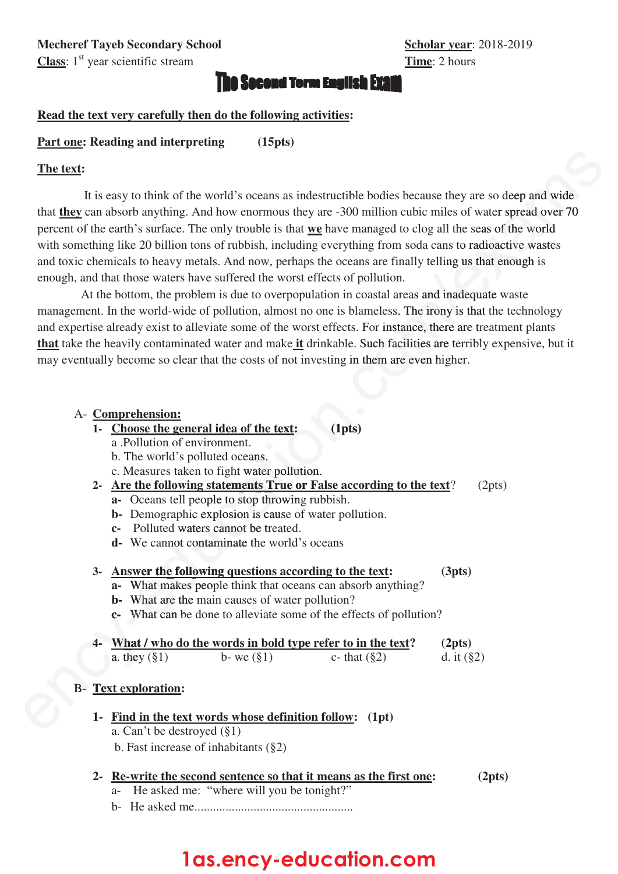## **ie Socond Term English Exam**

### **Read the text very carefully then do the following activities:**

### **Part one: Reading and interpreting (15pts)**

#### **The text:**

It is easy to think of the world's oceans as indestructible bodies because they are so deep and wide that **they** can absorb anything. And how enormous they are -300 million cubic miles of water spread over 70 percent of the earth's surface. The only trouble is that **we** have managed to clog all the seas of the world with something like 20 billion tons of rubbish, including everything from soda cans to radioactive wastes and toxic chemicals to heavy metals. And now, perhaps the oceans are finally telling us that enough is enough, and that those waters have suffered the worst effects of pollution. The text:<br>
It is easy to think of the world's occurres as indestruedible briddes because they are so deep and wide<br>
that <u>they</u> can absorb anything. And how encominas they are 300 million eable million component of the ca

At the bottom, the problem is due to overpopulation in coastal areas and inadequate waste management. In the world-wide of pollution, almost no one is blameless. The irony is that the technology and expertise already exist to alleviate some of the worst effects. For instance, there are treatment plants that take the heavily contaminated water and make it drinkable. Such facilities are terribly expensive, but it may eventually become so clear that the costs of not investing in them are even higher.

#### A- **Comprehension:**

- 1- Choose the general idea of the text: **: (1pts**
	- a .Pollution of environment.
	- b. The world's polluted oceans.
	- Choose the general idea of the text:<br>a .Pollution of environment.<br>b. The world's polluted oceans.<br>c. Measures taken to fight water pollution.
- **2- Are the following statements True or False according to the text**? (2pts) **fight water pollution**<br>**atements True or F**<br>**le to stop throwing ruplosion is cause of w** 
	- **a** Oceans tell people to stop throwing rubbish.
	- **b** Demographic explosion is cause of water pollution.
	- **c** Polluted waters cannot be treated.
	- **d** We cannot contaminate the world's oceans

#### **3- Answer the following questions according to the text: (3pts)**

- **a-** What makes people think that oceans can absorb anything? peop
- **b** What are the main causes of water pollution?
- **c** What can be done to alleviate some of the effects of pollution? **we cannot contamin<br>
<b>wer the following q**<br> **What are the main ca**<br> **What can be done to**
- **4- What / who do the words in bold type refer to in the text? (2pts)**  a. they  $(\S1)$  b- we  $(\S1)$  c- that  $(\S2)$  d. it  $(\S2)$ **e**  $\frac{w}{2}$  **What** / **w a** they (§

## B- **Text exploration: Text**

- **1- Find in the text words whose definition follow: (1pt)**
	- a. Can't be destroyed  $(\S1)$
	- b. Fast increase of inhabitants (§2)

#### **2- Re-write the second sentence so that it means as the first one: (2pts)**

- a- He asked me: "where will you be tonight?"
- b- He asked me!!!!!!!!!!!!!!!!!!!!!!!!!!!!!!!!!!!!!!!!!!!!!!!!!!!

# **1as.ency-education.com**